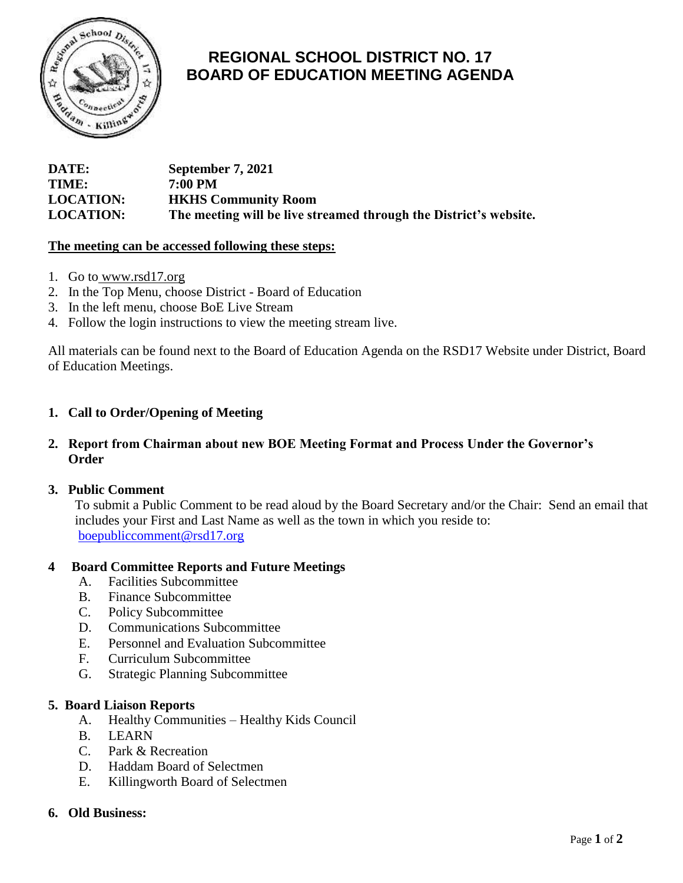

# **REGIONAL SCHOOL DISTRICT NO. 17 BOARD OF EDUCATION MEETING AGENDA**

| DATE:            | September 7, 2021                                                 |
|------------------|-------------------------------------------------------------------|
| TIME:            | 7:00 PM                                                           |
| <b>LOCATION:</b> | <b>HKHS Community Room</b>                                        |
| <b>LOCATION:</b> | The meeting will be live streamed through the District's website. |

## **The meeting can be accessed following these steps:**

- 1. Go to [www.rsd17.org](http://www.rsd17.org/)
- 2. In the Top Menu, choose District Board of Education
- 3. In the left menu, choose BoE Live Stream
- 4. Follow the login instructions to view the meeting stream live.

All materials can be found next to the Board of Education Agenda on the RSD17 Website under District, Board of Education Meetings.

# **1. Call to Order/Opening of Meeting**

## **2. Report from Chairman about new BOE Meeting Format and Process Under the Governor's Order**

## **3. Public Comment**

 To submit a Public Comment to be read aloud by the Board Secretary and/or the Chair: Send an email that includes your First and Last Name as well as the town in which you reside to: [boepubliccomment@rsd17.org](mailto:boepubliccomment@rsd17.org)

## **4 Board Committee Reports and Future Meetings**

- A. Facilities Subcommittee
- B. Finance Subcommittee
- C. Policy Subcommittee
- D. Communications Subcommittee
- E. Personnel and Evaluation Subcommittee
- F. Curriculum Subcommittee
- G. Strategic Planning Subcommittee

## **5. Board Liaison Reports**

- A. Healthy Communities Healthy Kids Council
- B. LEARN
- C. Park & Recreation
- D. Haddam Board of Selectmen
- E. Killingworth Board of Selectmen
- **6. Old Business:**